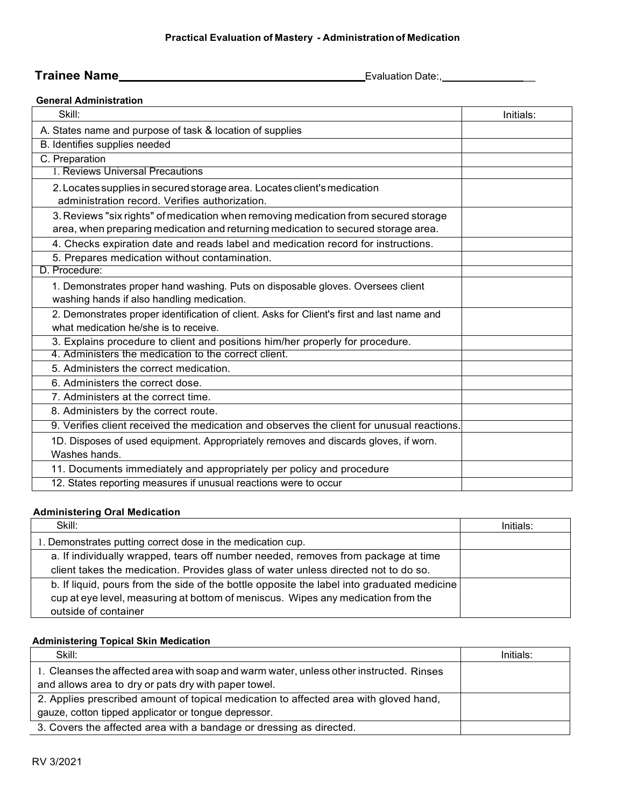### **Practical Evaluation of Mastery - Administrationof Medication**

# **Trainee Name** Evaluation Date:, \_

## **General Administration**

| Skill:                                                                                     | Initials: |
|--------------------------------------------------------------------------------------------|-----------|
| A. States name and purpose of task & location of supplies                                  |           |
| B. Identifies supplies needed                                                              |           |
| C. Preparation                                                                             |           |
| 1. Reviews Universal Precautions                                                           |           |
| 2. Locates supplies in secured storage area. Locates client's medication                   |           |
| administration record. Verifies authorization.                                             |           |
| 3. Reviews "six rights" of medication when removing medication from secured storage        |           |
| area, when preparing medication and returning medication to secured storage area.          |           |
| 4. Checks expiration date and reads label and medication record for instructions.          |           |
| 5. Prepares medication without contamination.                                              |           |
| D. Procedure:                                                                              |           |
| 1. Demonstrates proper hand washing. Puts on disposable gloves. Oversees client            |           |
| washing hands if also handling medication.                                                 |           |
| 2. Demonstrates proper identification of client. Asks for Client's first and last name and |           |
| what medication he/she is to receive.                                                      |           |
| 3. Explains procedure to client and positions him/her properly for procedure.              |           |
| 4. Administers the medication to the correct client.                                       |           |
| 5. Administers the correct medication.                                                     |           |
| 6. Administers the correct dose.                                                           |           |
| 7. Administers at the correct time.                                                        |           |
| 8. Administers by the correct route.                                                       |           |
| 9. Verifies client received the medication and observes the client for unusual reactions.  |           |
| 1D. Disposes of used equipment. Appropriately removes and discards gloves, if worn.        |           |
| Washes hands.                                                                              |           |
| 11. Documents immediately and appropriately per policy and procedure                       |           |
| 12. States reporting measures if unusual reactions were to occur                           |           |

### **Administering Oral Medication**

| Skill:                                                                                     | Initials: |
|--------------------------------------------------------------------------------------------|-----------|
| 1. Demonstrates putting correct dose in the medication cup.                                |           |
| a. If individually wrapped, tears off number needed, removes from package at time          |           |
| client takes the medication. Provides glass of water unless directed not to do so.         |           |
| b. If liquid, pours from the side of the bottle opposite the label into graduated medicine |           |
| cup at eye level, measuring at bottom of meniscus. Wipes any medication from the           |           |
| outside of container                                                                       |           |

## **Administering Topical Skin Medication**

| Skill:                                                                                  | Initials: |
|-----------------------------------------------------------------------------------------|-----------|
| 1. Cleanses the affected area with soap and warm water, unless other instructed. Rinses |           |
| and allows area to dry or pats dry with paper towel.                                    |           |
| 2. Applies prescribed amount of topical medication to affected area with gloved hand,   |           |
| gauze, cotton tipped applicator or tongue depressor.                                    |           |
| 3. Covers the affected area with a bandage or dressing as directed.                     |           |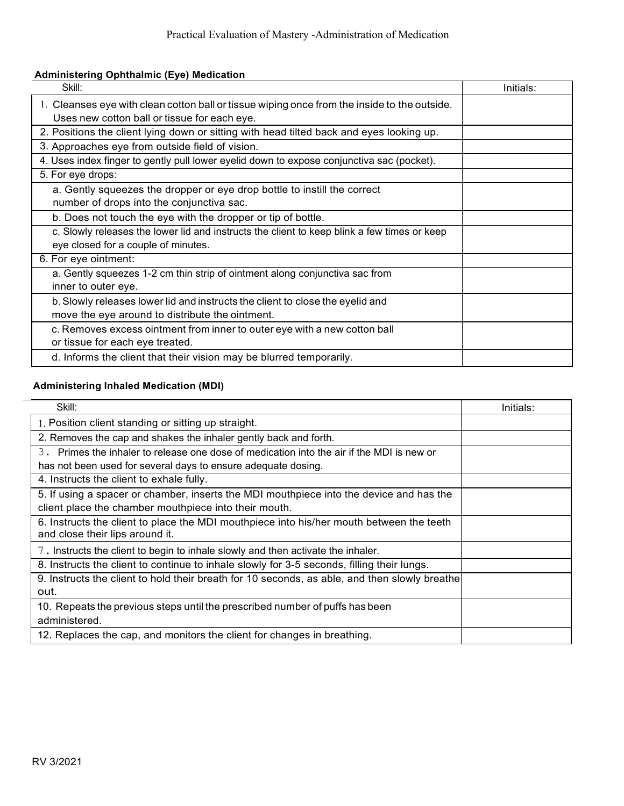# **Administering Ophthalmic (Eye) Medication**

| Skill:                                                                                                                                       | Initials: |
|----------------------------------------------------------------------------------------------------------------------------------------------|-----------|
| 1. Cleanses eye with clean cotton ball or tissue wiping once from the inside to the outside.<br>Uses new cotton ball or tissue for each eye. |           |
| 2. Positions the client lying down or sitting with head tilted back and eyes looking up.                                                     |           |
| 3. Approaches eye from outside field of vision.                                                                                              |           |
| 4. Uses index finger to gently pull lower eyelid down to expose conjunctiva sac (pocket).                                                    |           |
| 5. For eye drops:                                                                                                                            |           |
| a. Gently squeezes the dropper or eye drop bottle to instill the correct<br>number of drops into the conjunctiva sac.                        |           |
| b. Does not touch the eye with the dropper or tip of bottle.                                                                                 |           |
| c. Slowly releases the lower lid and instructs the client to keep blink a few times or keep<br>eye closed for a couple of minutes.           |           |
| 6. For eye ointment:                                                                                                                         |           |
| a. Gently squeezes 1-2 cm thin strip of ointment along conjunctiva sac from<br>inner to outer eye.                                           |           |
| b. Slowly releases lower lid and instructs the client to close the eyelid and<br>move the eye around to distribute the ointment.             |           |
| c. Removes excess ointment from inner to outer eye with a new cotton ball<br>or tissue for each eye treated.                                 |           |
| d. Informs the client that their vision may be blurred temporarily.                                                                          |           |

# **Administering Inhaled Medication (MDI)**

| Skill:                                                                                                                      | Initials: |
|-----------------------------------------------------------------------------------------------------------------------------|-----------|
| 1. Position client standing or sitting up straight.                                                                         |           |
| 2. Removes the cap and shakes the inhaler gently back and forth.                                                            |           |
| 3. Primes the inhaler to release one dose of medication into the air if the MDI is new or                                   |           |
| has not been used for several days to ensure adequate dosing.                                                               |           |
| 4. Instructs the client to exhale fully.                                                                                    |           |
| 5. If using a spacer or chamber, inserts the MDI mouthpiece into the device and has the                                     |           |
| client place the chamber mouthpiece into their mouth.                                                                       |           |
| 6. Instructs the client to place the MDI mouthpiece into his/her mouth between the teeth<br>and close their lips around it. |           |
| 7. Instructs the client to begin to inhale slowly and then activate the inhaler.                                            |           |
| 8. Instructs the client to continue to inhale slowly for 3-5 seconds, filling their lungs.                                  |           |
| 9. Instructs the client to hold their breath for 10 seconds, as able, and then slowly breathe                               |           |
| out.                                                                                                                        |           |
| 10. Repeats the previous steps until the prescribed number of puffs has been                                                |           |
| administered.                                                                                                               |           |
| 12. Replaces the cap, and monitors the client for changes in breathing.                                                     |           |

 $\overline{\phantom{0}}$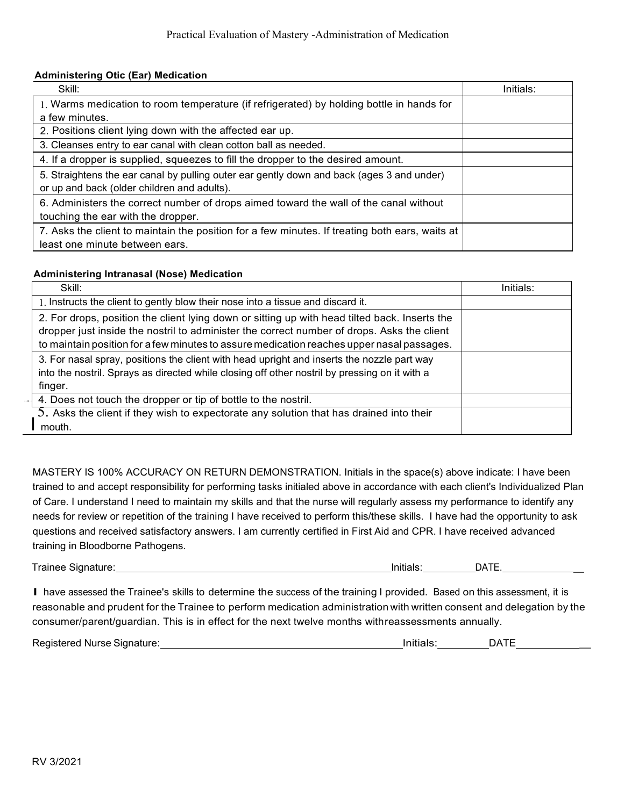## **Administering Otic (Ear) Medication**

| Skill:                                                                                                                                   | Initials: |
|------------------------------------------------------------------------------------------------------------------------------------------|-----------|
| 1. Warms medication to room temperature (if refrigerated) by holding bottle in hands for                                                 |           |
| a few minutes.                                                                                                                           |           |
| 2. Positions client lying down with the affected ear up.                                                                                 |           |
| 3. Cleanses entry to ear canal with clean cotton ball as needed.                                                                         |           |
| 4. If a dropper is supplied, squeezes to fill the dropper to the desired amount.                                                         |           |
| 5. Straightens the ear canal by pulling outer ear gently down and back (ages 3 and under)<br>or up and back (older children and adults). |           |
| 6. Administers the correct number of drops aimed toward the wall of the canal without                                                    |           |
| touching the ear with the dropper.                                                                                                       |           |
| 7. Asks the client to maintain the position for a few minutes. If treating both ears, waits at                                           |           |
| least one minute between ears.                                                                                                           |           |

### **Administering Intranasal (Nose) Medication**

| Skill:                                                                                                                                                                                                                                                                                   | Initials: |
|------------------------------------------------------------------------------------------------------------------------------------------------------------------------------------------------------------------------------------------------------------------------------------------|-----------|
| 1. Instructs the client to gently blow their nose into a tissue and discard it.                                                                                                                                                                                                          |           |
| 2. For drops, position the client lying down or sitting up with head tilted back. Inserts the<br>dropper just inside the nostril to administer the correct number of drops. Asks the client<br>to maintain position for a few minutes to assure medication reaches upper nasal passages. |           |
| 3. For nasal spray, positions the client with head upright and inserts the nozzle part way<br>into the nostril. Sprays as directed while closing off other nostril by pressing on it with a<br>finger.                                                                                   |           |
| 4. Does not touch the dropper or tip of bottle to the nostril.                                                                                                                                                                                                                           |           |
| 5. Asks the client if they wish to expectorate any solution that has drained into their<br>mouth.                                                                                                                                                                                        |           |

MASTERY IS 100% ACCURACY ON RETURN DEMONSTRATION. Initials in the space(s) above indicate: I have been trained to and accept responsibility for performing tasks initialed above in accordance with each client's Individualized Plan of Care. I understand I need to maintain my skills and that the nurse will regularly assess my performance to identify any needs for review or repetition of the training I have received to perform this/these skills. I have had the opportunity to ask questions and received satisfactory answers. I am currently certified in First Aid and CPR. I have received advanced training in Bloodborne Pathogens.

Trainee Signature: lnitials: DATE. \_

I have assessed the Trainee's skills to determine the success of the training I provided. Based on this assessment, it is reasonable and prudent for the Trainee to perform medication administration with written consent and delegation by the consumer/parent/guardian. This is in effect for the next twelve months withreassessments annually.

| Registered Nurse Signature: |  | $\Box$ $\Box$ |
|-----------------------------|--|---------------|
|                             |  |               |